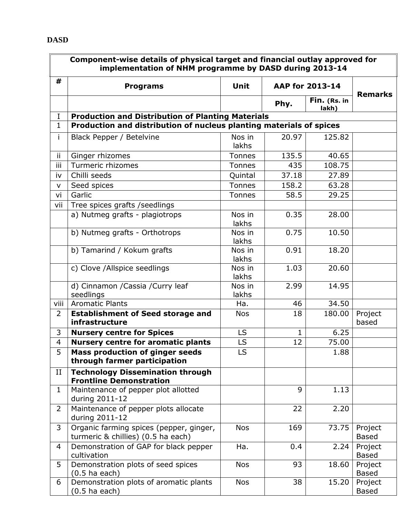## **DASD**

|                | Component-wise details of physical target and financial outlay approved for<br>implementation of NHM programme by DASD during 2013-14 |                 |                 |                       |                         |  |  |  |  |
|----------------|---------------------------------------------------------------------------------------------------------------------------------------|-----------------|-----------------|-----------------------|-------------------------|--|--|--|--|
| #              | <b>Programs</b>                                                                                                                       | <b>Unit</b>     | AAP for 2013-14 |                       | <b>Remarks</b>          |  |  |  |  |
|                |                                                                                                                                       |                 | Phy.            | Fin. (Rs. in<br>lakh) |                         |  |  |  |  |
| $\mathbf I$    | <b>Production and Distribution of Planting Materials</b>                                                                              |                 |                 |                       |                         |  |  |  |  |
| $\mathbf{1}$   | Production and distribution of nucleus planting materials of spices                                                                   |                 |                 |                       |                         |  |  |  |  |
| i.             | Black Pepper / Betelvine                                                                                                              | Nos in<br>lakhs | 20.97           | 125.82                |                         |  |  |  |  |
| ii.            | Ginger rhizomes                                                                                                                       | <b>Tonnes</b>   | 135.5           | 40.65                 |                         |  |  |  |  |
| iii            | Turmeric rhizomes                                                                                                                     | <b>Tonnes</b>   | 435             | 108.75                |                         |  |  |  |  |
| iv             | Chilli seeds                                                                                                                          | Quintal         | 37.18           | 27.89                 |                         |  |  |  |  |
| V              | Seed spices                                                                                                                           | <b>Tonnes</b>   | 158.2           | 63.28                 |                         |  |  |  |  |
| vi             | Garlic                                                                                                                                | <b>Tonnes</b>   | 58.5            | 29.25                 |                         |  |  |  |  |
| vii            | Tree spices grafts / seedlings                                                                                                        |                 |                 |                       |                         |  |  |  |  |
|                | a) Nutmeg grafts - plagiotrops                                                                                                        | Nos in<br>lakhs | 0.35            | 28.00                 |                         |  |  |  |  |
|                | b) Nutmeg grafts - Orthotrops                                                                                                         | Nos in<br>lakhs | 0.75            | 10.50                 |                         |  |  |  |  |
|                | b) Tamarind / Kokum grafts                                                                                                            | Nos in<br>lakhs | 0.91            | 18.20                 |                         |  |  |  |  |
|                | c) Clove /Allspice seedlings                                                                                                          | Nos in<br>lakhs | 1.03            | 20.60                 |                         |  |  |  |  |
|                | d) Cinnamon / Cassia / Curry leaf<br>seedlings                                                                                        | Nos in<br>lakhs | 2.99            | 14.95                 |                         |  |  |  |  |
| viii           | <b>Aromatic Plants</b>                                                                                                                | Ha.             | 46              | 34.50                 |                         |  |  |  |  |
| $\overline{2}$ | <b>Establishment of Seed storage and</b><br>infrastructure                                                                            | <b>Nos</b>      | 18              | 180.00                | Project<br>based        |  |  |  |  |
| 3              | <b>Nursery centre for Spices</b>                                                                                                      | LS              | $\mathbf{1}$    | 6.25                  |                         |  |  |  |  |
| $\overline{4}$ | <b>Nursery centre for aromatic plants</b>                                                                                             | LS.             | 12              | 75.00                 |                         |  |  |  |  |
| 5              | <b>Mass production of ginger seeds</b><br>through farmer participation                                                                | LS              |                 | 1.88                  |                         |  |  |  |  |
| II             | <b>Technology Dissemination through</b><br><b>Frontline Demonstration</b>                                                             |                 |                 |                       |                         |  |  |  |  |
| $\mathbf 1$    | Maintenance of pepper plot allotted<br>during 2011-12                                                                                 |                 | 9               | 1.13                  |                         |  |  |  |  |
| $\overline{2}$ | Maintenance of pepper plots allocate<br>during 2011-12                                                                                |                 | 22              | 2.20                  |                         |  |  |  |  |
| 3              | Organic farming spices (pepper, ginger,<br>turmeric & chillies) (0.5 ha each)                                                         | <b>Nos</b>      | 169             | 73.75                 | Project<br><b>Based</b> |  |  |  |  |
| 4              | Demonstration of GAP for black pepper<br>cultivation                                                                                  | Ha.             | 0.4             | 2.24                  | Project<br><b>Based</b> |  |  |  |  |
| 5              | Demonstration plots of seed spices<br>$(0.5$ ha each)                                                                                 | <b>Nos</b>      | 93              | 18.60                 | Project<br><b>Based</b> |  |  |  |  |
| 6              | Demonstration plots of aromatic plants<br>$(0.5$ ha each)                                                                             | <b>Nos</b>      | 38              | 15.20                 | Project<br><b>Based</b> |  |  |  |  |